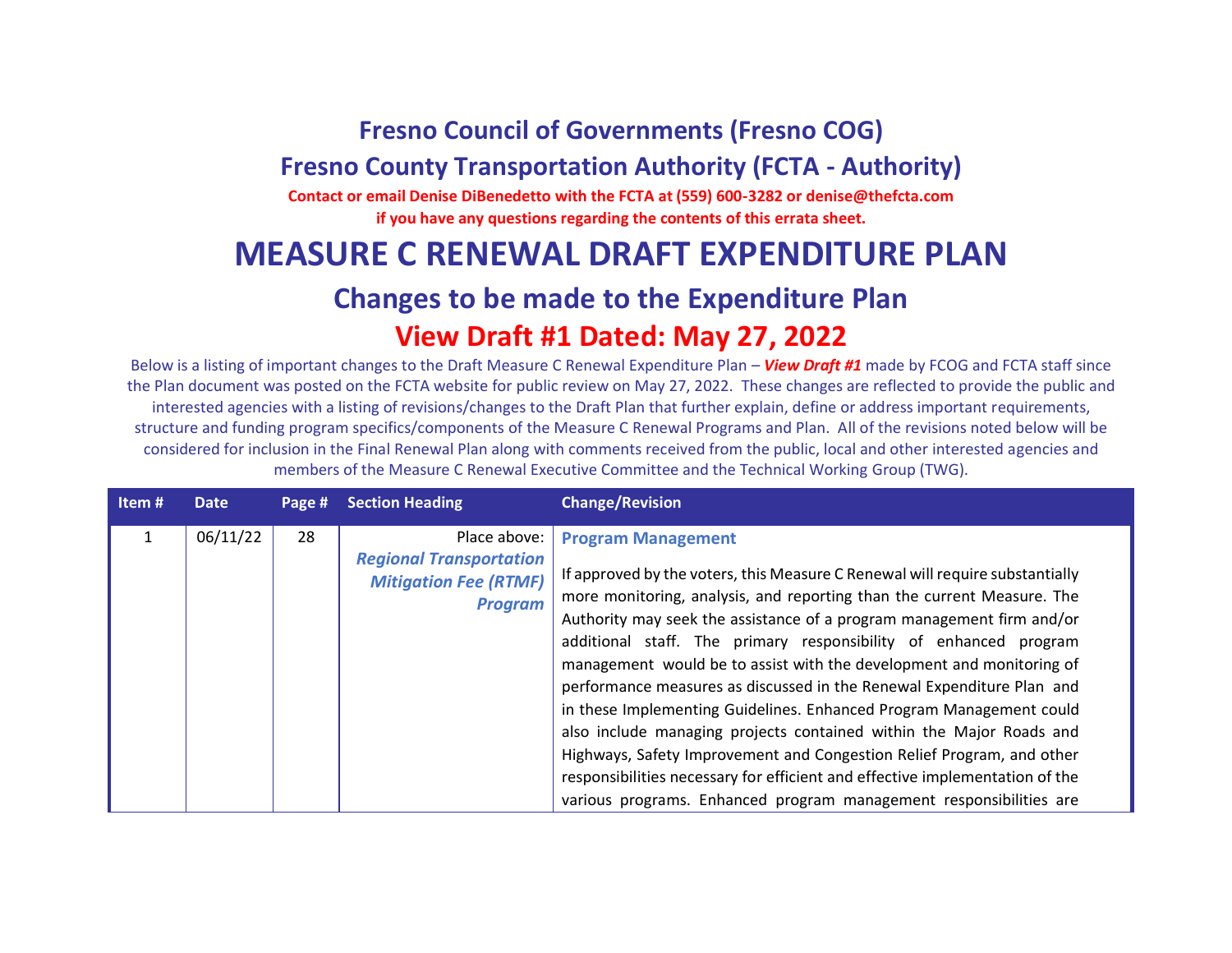## **Fresno Council of Governments (Fresno COG)**

## **Fresno County Transportation Authority (FCTA - Authority)**

**Contact or email Denise DiBenedetto with the FCTA at (559) 600-3282 or denise@thefcta.com if you have any questions regarding the contents of this errata sheet.**

## **MEASURE C RENEWAL DRAFT EXPENDITURE PLAN**

## **Changes to be made to the Expenditure Plan View Draft #1 Dated: May 27, 2022**

Below is a listing of important changes to the Draft Measure C Renewal Expenditure Plan – *View Draft #1* made by FCOG and FCTA staff since the Plan document was posted on the FCTA website for public review on May 27, 2022. These changes are reflected to provide the public and interested agencies with a listing of revisions/changes to the Draft Plan that further explain, define or address important requirements, structure and funding program specifics/components of the Measure C Renewal Programs and Plan. All of the revisions noted below will be considered for inclusion in the Final Renewal Plan along with comments received from the public, local and other interested agencies and members of the Measure C Renewal Executive Committee and the Technical Working Group (TWG).

| Item# | Date     | Page # | <b>Section Heading</b>                                                                           | <b>Change/Revision</b>                                                                                                                                                                                                                                                                                                                                                                                                                                                                                            |
|-------|----------|--------|--------------------------------------------------------------------------------------------------|-------------------------------------------------------------------------------------------------------------------------------------------------------------------------------------------------------------------------------------------------------------------------------------------------------------------------------------------------------------------------------------------------------------------------------------------------------------------------------------------------------------------|
|       | 06/11/22 | 28     | Place above:<br><b>Regional Transportation</b><br><b>Mitigation Fee (RTMF)</b><br><b>Program</b> | <b>Program Management</b><br>If approved by the voters, this Measure C Renewal will require substantially<br>more monitoring, analysis, and reporting than the current Measure. The                                                                                                                                                                                                                                                                                                                               |
|       |          |        |                                                                                                  | Authority may seek the assistance of a program management firm and/or<br>additional staff. The primary responsibility of enhanced program<br>management would be to assist with the development and monitoring of<br>performance measures as discussed in the Renewal Expenditure Plan and<br>in these Implementing Guidelines. Enhanced Program Management could<br>also include managing projects contained within the Major Roads and<br>Highways, Safety Improvement and Congestion Relief Program, and other |
|       |          |        |                                                                                                  | responsibilities necessary for efficient and effective implementation of the<br>various programs. Enhanced program management responsibilities are                                                                                                                                                                                                                                                                                                                                                                |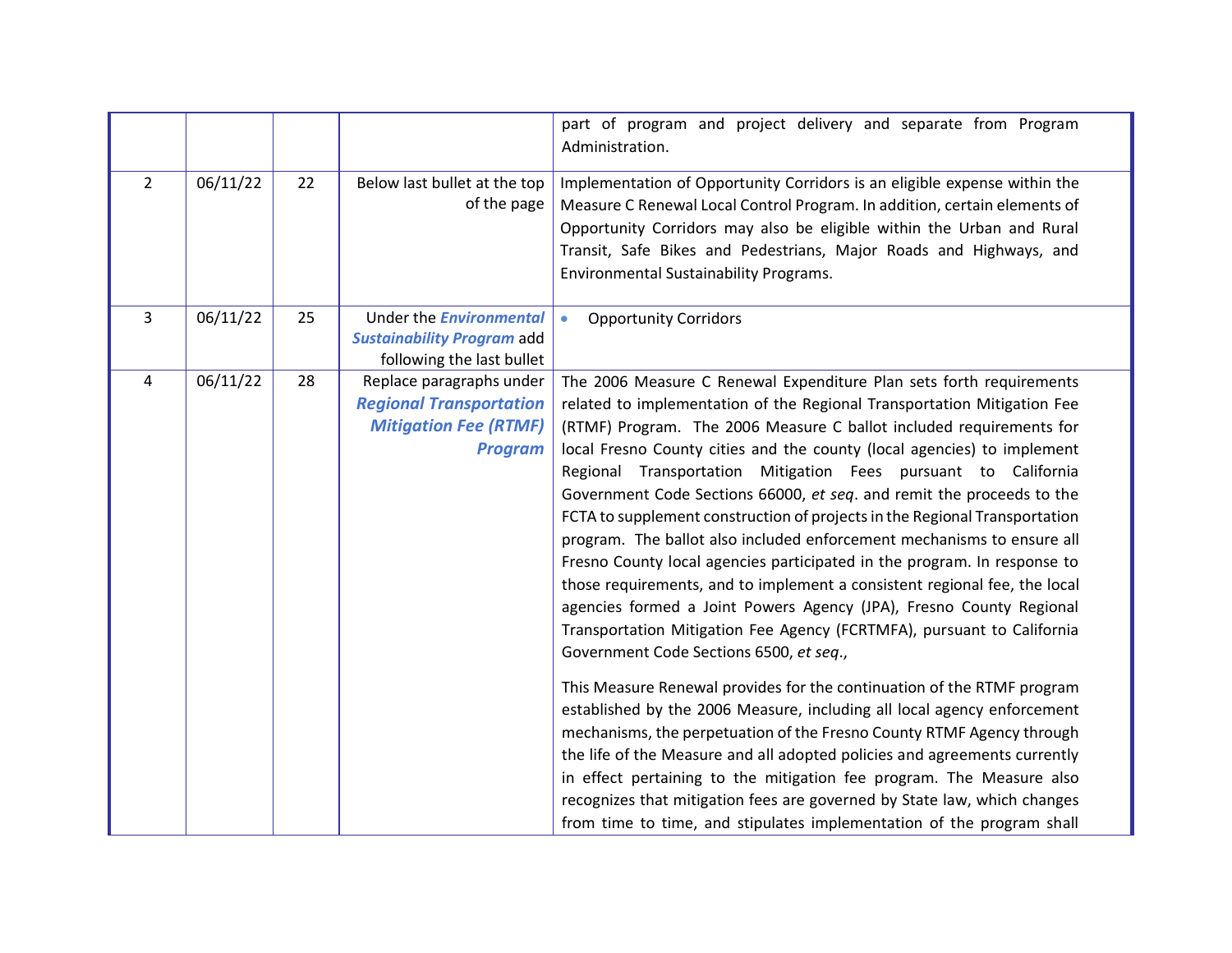|                |          |    |                                                                                                              | part of program and project delivery and separate from Program<br>Administration.                                                                                                                                                                                                                                                                                                                                                                                                                                                                                                                                                                                                                                                                                                                                                                                                                                                                                                                                                                                                                                                                                                                                                                                                                                                                                                                                                                                                                |
|----------------|----------|----|--------------------------------------------------------------------------------------------------------------|--------------------------------------------------------------------------------------------------------------------------------------------------------------------------------------------------------------------------------------------------------------------------------------------------------------------------------------------------------------------------------------------------------------------------------------------------------------------------------------------------------------------------------------------------------------------------------------------------------------------------------------------------------------------------------------------------------------------------------------------------------------------------------------------------------------------------------------------------------------------------------------------------------------------------------------------------------------------------------------------------------------------------------------------------------------------------------------------------------------------------------------------------------------------------------------------------------------------------------------------------------------------------------------------------------------------------------------------------------------------------------------------------------------------------------------------------------------------------------------------------|
| $\overline{2}$ | 06/11/22 | 22 | Below last bullet at the top<br>of the page                                                                  | Implementation of Opportunity Corridors is an eligible expense within the<br>Measure C Renewal Local Control Program. In addition, certain elements of<br>Opportunity Corridors may also be eligible within the Urban and Rural<br>Transit, Safe Bikes and Pedestrians, Major Roads and Highways, and<br>Environmental Sustainability Programs.                                                                                                                                                                                                                                                                                                                                                                                                                                                                                                                                                                                                                                                                                                                                                                                                                                                                                                                                                                                                                                                                                                                                                  |
| $\overline{3}$ | 06/11/22 | 25 | Under the <b>Environmental</b><br><b>Sustainability Program add</b><br>following the last bullet             | <b>Opportunity Corridors</b><br>$\bullet$                                                                                                                                                                                                                                                                                                                                                                                                                                                                                                                                                                                                                                                                                                                                                                                                                                                                                                                                                                                                                                                                                                                                                                                                                                                                                                                                                                                                                                                        |
| 4              | 06/11/22 | 28 | Replace paragraphs under<br><b>Regional Transportation</b><br><b>Mitigation Fee (RTMF)</b><br><b>Program</b> | The 2006 Measure C Renewal Expenditure Plan sets forth requirements<br>related to implementation of the Regional Transportation Mitigation Fee<br>(RTMF) Program. The 2006 Measure C ballot included requirements for<br>local Fresno County cities and the county (local agencies) to implement<br>Regional Transportation Mitigation Fees pursuant to California<br>Government Code Sections 66000, et seq. and remit the proceeds to the<br>FCTA to supplement construction of projects in the Regional Transportation<br>program. The ballot also included enforcement mechanisms to ensure all<br>Fresno County local agencies participated in the program. In response to<br>those requirements, and to implement a consistent regional fee, the local<br>agencies formed a Joint Powers Agency (JPA), Fresno County Regional<br>Transportation Mitigation Fee Agency (FCRTMFA), pursuant to California<br>Government Code Sections 6500, et seq.,<br>This Measure Renewal provides for the continuation of the RTMF program<br>established by the 2006 Measure, including all local agency enforcement<br>mechanisms, the perpetuation of the Fresno County RTMF Agency through<br>the life of the Measure and all adopted policies and agreements currently<br>in effect pertaining to the mitigation fee program. The Measure also<br>recognizes that mitigation fees are governed by State law, which changes<br>from time to time, and stipulates implementation of the program shall |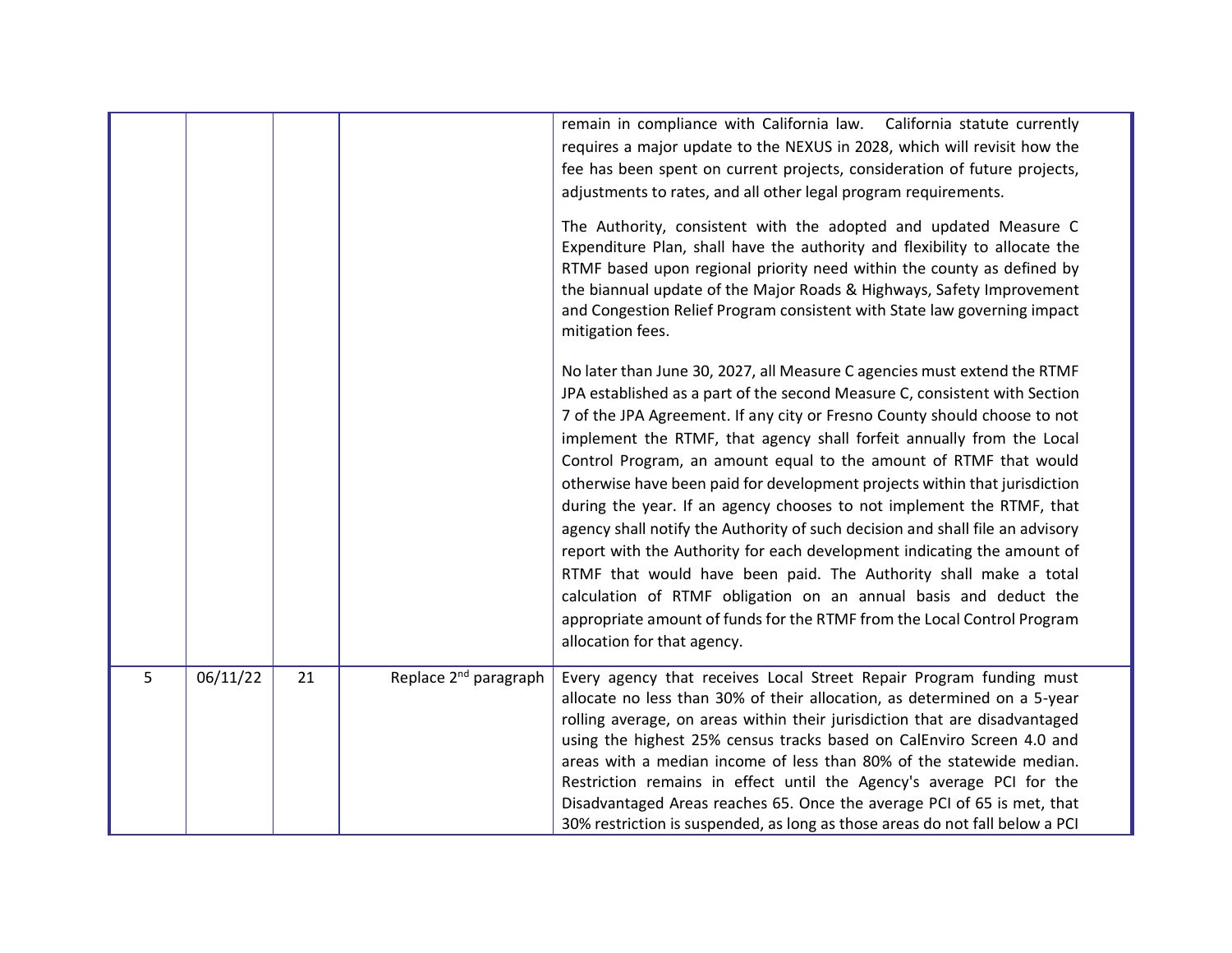|   |          |    |                                   | remain in compliance with California law.  California statute currently<br>requires a major update to the NEXUS in 2028, which will revisit how the<br>fee has been spent on current projects, consideration of future projects,<br>adjustments to rates, and all other legal program requirements.<br>The Authority, consistent with the adopted and updated Measure C<br>Expenditure Plan, shall have the authority and flexibility to allocate the<br>RTMF based upon regional priority need within the county as defined by<br>the biannual update of the Major Roads & Highways, Safety Improvement<br>and Congestion Relief Program consistent with State law governing impact<br>mitigation fees.<br>No later than June 30, 2027, all Measure C agencies must extend the RTMF<br>JPA established as a part of the second Measure C, consistent with Section<br>7 of the JPA Agreement. If any city or Fresno County should choose to not<br>implement the RTMF, that agency shall forfeit annually from the Local<br>Control Program, an amount equal to the amount of RTMF that would<br>otherwise have been paid for development projects within that jurisdiction<br>during the year. If an agency chooses to not implement the RTMF, that<br>agency shall notify the Authority of such decision and shall file an advisory<br>report with the Authority for each development indicating the amount of<br>RTMF that would have been paid. The Authority shall make a total<br>calculation of RTMF obligation on an annual basis and deduct the<br>appropriate amount of funds for the RTMF from the Local Control Program<br>allocation for that agency. |
|---|----------|----|-----------------------------------|--------------------------------------------------------------------------------------------------------------------------------------------------------------------------------------------------------------------------------------------------------------------------------------------------------------------------------------------------------------------------------------------------------------------------------------------------------------------------------------------------------------------------------------------------------------------------------------------------------------------------------------------------------------------------------------------------------------------------------------------------------------------------------------------------------------------------------------------------------------------------------------------------------------------------------------------------------------------------------------------------------------------------------------------------------------------------------------------------------------------------------------------------------------------------------------------------------------------------------------------------------------------------------------------------------------------------------------------------------------------------------------------------------------------------------------------------------------------------------------------------------------------------------------------------------------------------------------------------------------------------------------------------------------------|
|   |          |    |                                   |                                                                                                                                                                                                                                                                                                                                                                                                                                                                                                                                                                                                                                                                                                                                                                                                                                                                                                                                                                                                                                                                                                                                                                                                                                                                                                                                                                                                                                                                                                                                                                                                                                                                    |
| 5 | 06/11/22 | 21 | Replace 2 <sup>nd</sup> paragraph | Every agency that receives Local Street Repair Program funding must<br>allocate no less than 30% of their allocation, as determined on a 5-year<br>rolling average, on areas within their jurisdiction that are disadvantaged<br>using the highest 25% census tracks based on CalEnviro Screen 4.0 and<br>areas with a median income of less than 80% of the statewide median.<br>Restriction remains in effect until the Agency's average PCI for the<br>Disadvantaged Areas reaches 65. Once the average PCI of 65 is met, that<br>30% restriction is suspended, as long as those areas do not fall below a PCI                                                                                                                                                                                                                                                                                                                                                                                                                                                                                                                                                                                                                                                                                                                                                                                                                                                                                                                                                                                                                                                  |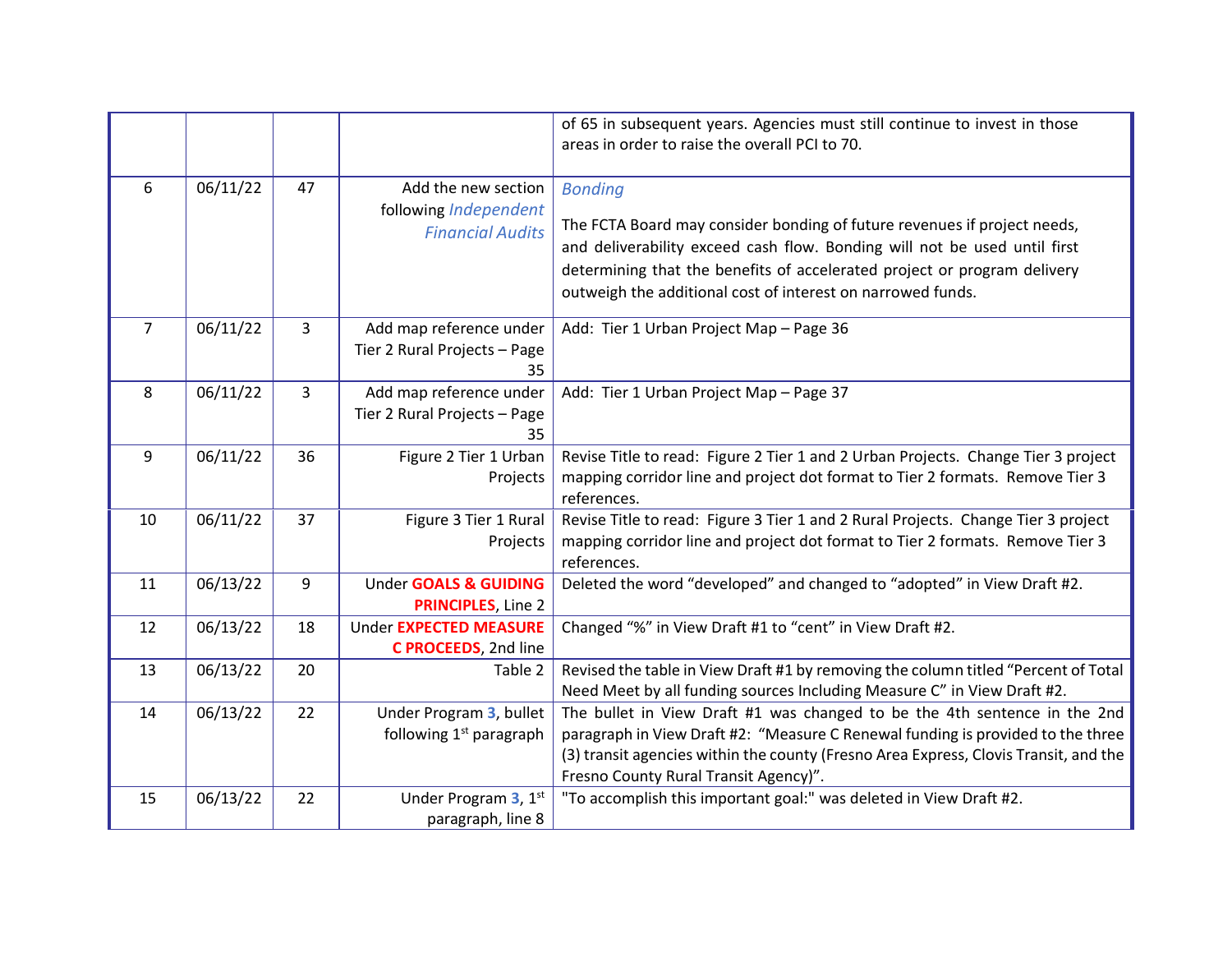|                |          |                |                                                                         | of 65 in subsequent years. Agencies must still continue to invest in those<br>areas in order to raise the overall PCI to 70.                                                                                                                                                                                       |
|----------------|----------|----------------|-------------------------------------------------------------------------|--------------------------------------------------------------------------------------------------------------------------------------------------------------------------------------------------------------------------------------------------------------------------------------------------------------------|
| 6              | 06/11/22 | 47             | Add the new section<br>following Independent<br><b>Financial Audits</b> | <b>Bonding</b><br>The FCTA Board may consider bonding of future revenues if project needs,<br>and deliverability exceed cash flow. Bonding will not be used until first<br>determining that the benefits of accelerated project or program delivery<br>outweigh the additional cost of interest on narrowed funds. |
| $\overline{7}$ | 06/11/22 | $\overline{3}$ | Add map reference under<br>Tier 2 Rural Projects - Page<br>35           | Add: Tier 1 Urban Project Map - Page 36                                                                                                                                                                                                                                                                            |
| 8              | 06/11/22 | 3              | Add map reference under<br>Tier 2 Rural Projects - Page<br>35           | Add: Tier 1 Urban Project Map - Page 37                                                                                                                                                                                                                                                                            |
| 9              | 06/11/22 | 36             | Figure 2 Tier 1 Urban<br>Projects                                       | Revise Title to read: Figure 2 Tier 1 and 2 Urban Projects. Change Tier 3 project<br>mapping corridor line and project dot format to Tier 2 formats. Remove Tier 3<br>references.                                                                                                                                  |
| 10             | 06/11/22 | 37             | Figure 3 Tier 1 Rural<br>Projects                                       | Revise Title to read: Figure 3 Tier 1 and 2 Rural Projects. Change Tier 3 project<br>mapping corridor line and project dot format to Tier 2 formats. Remove Tier 3<br>references.                                                                                                                                  |
| 11             | 06/13/22 | 9              | Under GOALS & GUIDING<br><b>PRINCIPLES, Line 2</b>                      | Deleted the word "developed" and changed to "adopted" in View Draft #2.                                                                                                                                                                                                                                            |
| 12             | 06/13/22 | 18             | Under EXPECTED MEASURE<br>C PROCEEDS, 2nd line                          | Changed "%" in View Draft #1 to "cent" in View Draft #2.                                                                                                                                                                                                                                                           |
| 13             | 06/13/22 | 20             | Table 2                                                                 | Revised the table in View Draft #1 by removing the column titled "Percent of Total<br>Need Meet by all funding sources Including Measure C" in View Draft #2.                                                                                                                                                      |
| 14             | 06/13/22 | 22             | Under Program 3, bullet<br>following 1 <sup>st</sup> paragraph          | The bullet in View Draft #1 was changed to be the 4th sentence in the 2nd<br>paragraph in View Draft #2: "Measure C Renewal funding is provided to the three<br>(3) transit agencies within the county (Fresno Area Express, Clovis Transit, and the<br>Fresno County Rural Transit Agency)".                      |
| 15             | 06/13/22 | 22             | Under Program 3, 1st<br>paragraph, line 8                               | "To accomplish this important goal:" was deleted in View Draft #2.                                                                                                                                                                                                                                                 |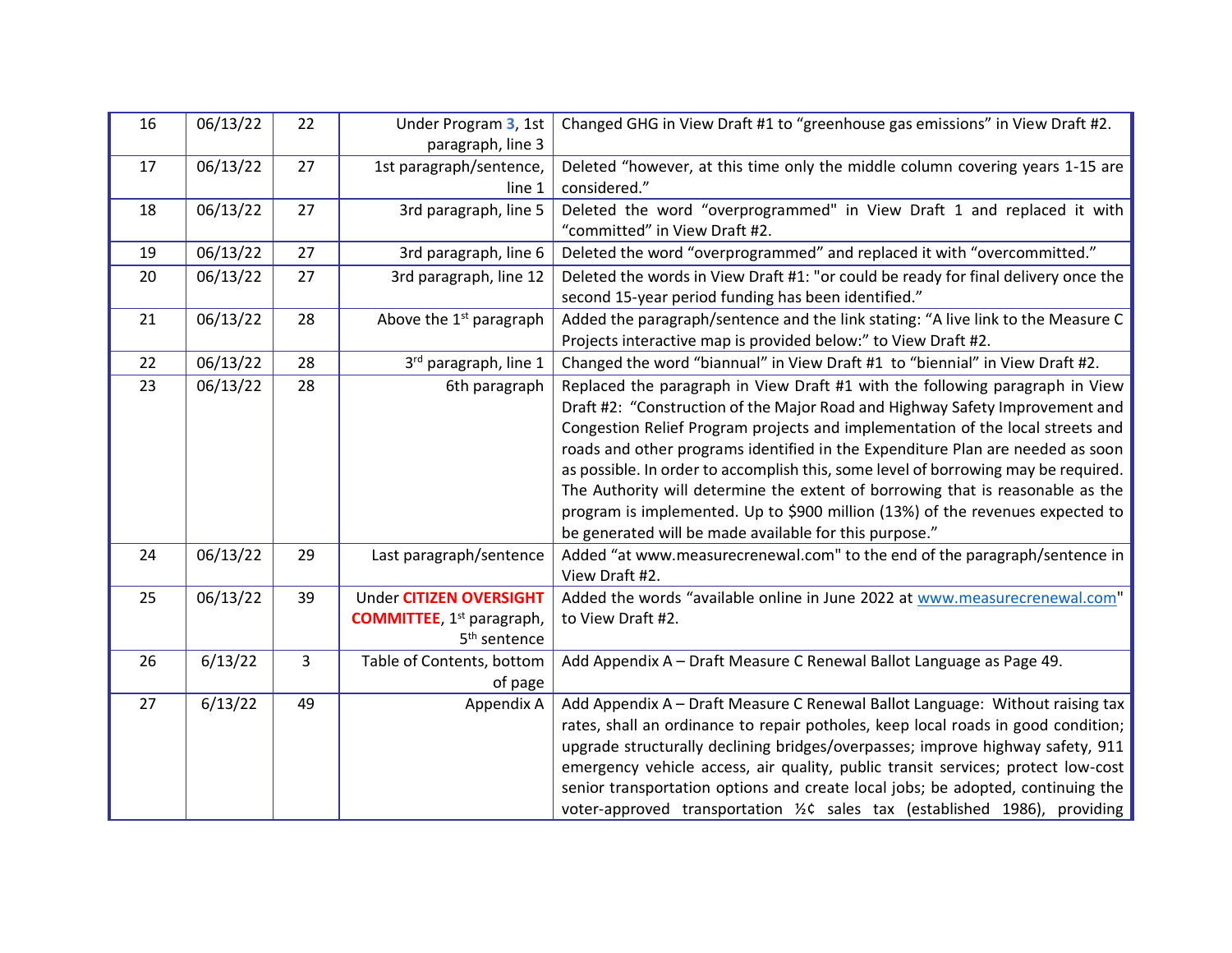| 16 | 06/13/22 | 22             | Under Program 3, 1st                                                                                        | Changed GHG in View Draft #1 to "greenhouse gas emissions" in View Draft #2.                                                                                                                                                                                                                                                                                                                                                                                                                                                                                                                                                                        |  |  |  |
|----|----------|----------------|-------------------------------------------------------------------------------------------------------------|-----------------------------------------------------------------------------------------------------------------------------------------------------------------------------------------------------------------------------------------------------------------------------------------------------------------------------------------------------------------------------------------------------------------------------------------------------------------------------------------------------------------------------------------------------------------------------------------------------------------------------------------------------|--|--|--|
| 17 | 06/13/22 | 27             | paragraph, line 3<br>1st paragraph/sentence,                                                                | Deleted "however, at this time only the middle column covering years 1-15 are                                                                                                                                                                                                                                                                                                                                                                                                                                                                                                                                                                       |  |  |  |
| 18 | 06/13/22 | 27             | line 1<br>3rd paragraph, line 5                                                                             | considered."<br>Deleted the word "overprogrammed" in View Draft 1 and replaced it with<br>"committed" in View Draft #2.                                                                                                                                                                                                                                                                                                                                                                                                                                                                                                                             |  |  |  |
| 19 | 06/13/22 | 27             | 3rd paragraph, line 6                                                                                       | Deleted the word "overprogrammed" and replaced it with "overcommitted."                                                                                                                                                                                                                                                                                                                                                                                                                                                                                                                                                                             |  |  |  |
| 20 | 06/13/22 | 27             | 3rd paragraph, line 12                                                                                      | Deleted the words in View Draft #1: "or could be ready for final delivery once the<br>second 15-year period funding has been identified."                                                                                                                                                                                                                                                                                                                                                                                                                                                                                                           |  |  |  |
| 21 | 06/13/22 | 28             | Above the 1 <sup>st</sup> paragraph                                                                         | Added the paragraph/sentence and the link stating: "A live link to the Measure C<br>Projects interactive map is provided below:" to View Draft #2.                                                                                                                                                                                                                                                                                                                                                                                                                                                                                                  |  |  |  |
| 22 | 06/13/22 | 28             | 3rd paragraph, line 1                                                                                       | Changed the word "biannual" in View Draft #1 to "biennial" in View Draft #2.                                                                                                                                                                                                                                                                                                                                                                                                                                                                                                                                                                        |  |  |  |
| 23 | 06/13/22 | 28             | 6th paragraph                                                                                               | Replaced the paragraph in View Draft #1 with the following paragraph in View<br>Draft #2: "Construction of the Major Road and Highway Safety Improvement and<br>Congestion Relief Program projects and implementation of the local streets and<br>roads and other programs identified in the Expenditure Plan are needed as soon<br>as possible. In order to accomplish this, some level of borrowing may be required.<br>The Authority will determine the extent of borrowing that is reasonable as the<br>program is implemented. Up to \$900 million (13%) of the revenues expected to<br>be generated will be made available for this purpose." |  |  |  |
| 24 | 06/13/22 | 29             | Last paragraph/sentence                                                                                     | Added "at www.measurecrenewal.com" to the end of the paragraph/sentence in<br>View Draft #2.                                                                                                                                                                                                                                                                                                                                                                                                                                                                                                                                                        |  |  |  |
| 25 | 06/13/22 | 39             | <b>Under CITIZEN OVERSIGHT</b><br><b>COMMITTEE</b> , 1 <sup>st</sup> paragraph,<br>5 <sup>th</sup> sentence | Added the words "available online in June 2022 at www.measurecrenewal.com"<br>to View Draft #2.                                                                                                                                                                                                                                                                                                                                                                                                                                                                                                                                                     |  |  |  |
| 26 | 6/13/22  | $\overline{3}$ | Table of Contents, bottom<br>of page                                                                        | Add Appendix A - Draft Measure C Renewal Ballot Language as Page 49.                                                                                                                                                                                                                                                                                                                                                                                                                                                                                                                                                                                |  |  |  |
| 27 | 6/13/22  | 49             | Appendix A                                                                                                  | Add Appendix A - Draft Measure C Renewal Ballot Language: Without raising tax<br>rates, shall an ordinance to repair potholes, keep local roads in good condition;<br>upgrade structurally declining bridges/overpasses; improve highway safety, 911<br>emergency vehicle access, air quality, public transit services; protect low-cost<br>senior transportation options and create local jobs; be adopted, continuing the<br>voter-approved transportation 1/2C sales tax (established 1986), providing                                                                                                                                           |  |  |  |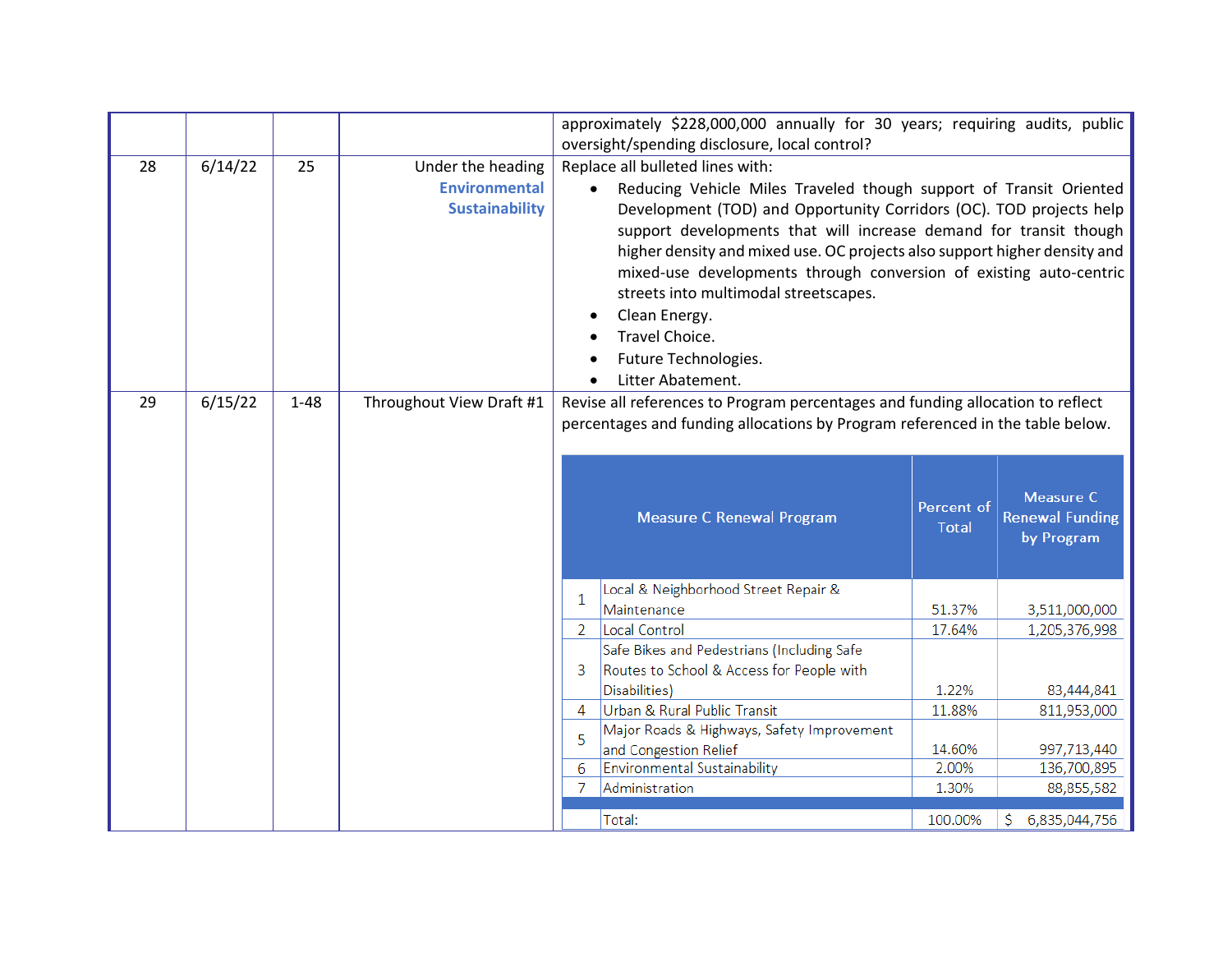|    |         |          |                                                                    |                                                                                                                                                                                                                                                                                                                                                                                                                                                                                                                                             | approximately \$228,000,000 annually for 30 years; requiring audits, public<br>oversight/spending disclosure, local control? |                            |                                                   |  |
|----|---------|----------|--------------------------------------------------------------------|---------------------------------------------------------------------------------------------------------------------------------------------------------------------------------------------------------------------------------------------------------------------------------------------------------------------------------------------------------------------------------------------------------------------------------------------------------------------------------------------------------------------------------------------|------------------------------------------------------------------------------------------------------------------------------|----------------------------|---------------------------------------------------|--|
| 28 | 6/14/22 | 25       | Under the heading<br><b>Environmental</b><br><b>Sustainability</b> | Replace all bulleted lines with:<br>Reducing Vehicle Miles Traveled though support of Transit Oriented<br>$\bullet$<br>Development (TOD) and Opportunity Corridors (OC). TOD projects help<br>support developments that will increase demand for transit though<br>higher density and mixed use. OC projects also support higher density and<br>mixed-use developments through conversion of existing auto-centric<br>streets into multimodal streetscapes.<br>Clean Energy.<br>Travel Choice.<br>Future Technologies.<br>Litter Abatement. |                                                                                                                              |                            |                                                   |  |
| 29 | 6/15/22 | $1 - 48$ | Throughout View Draft #1                                           | Revise all references to Program percentages and funding allocation to reflect<br>percentages and funding allocations by Program referenced in the table below.                                                                                                                                                                                                                                                                                                                                                                             |                                                                                                                              |                            |                                                   |  |
|    |         |          |                                                                    |                                                                                                                                                                                                                                                                                                                                                                                                                                                                                                                                             | <b>Measure C Renewal Program</b>                                                                                             | Percent of<br><b>Total</b> | Measure C<br><b>Renewal Funding</b><br>by Program |  |
|    |         |          |                                                                    | $\mathbf{1}$                                                                                                                                                                                                                                                                                                                                                                                                                                                                                                                                | Local & Neighborhood Street Repair &                                                                                         |                            |                                                   |  |
|    |         |          |                                                                    | $\overline{2}$                                                                                                                                                                                                                                                                                                                                                                                                                                                                                                                              | Maintenance<br>Local Control                                                                                                 | 51.37%<br>17.64%           | 3,511,000,000<br>1,205,376,998                    |  |
|    |         |          |                                                                    |                                                                                                                                                                                                                                                                                                                                                                                                                                                                                                                                             | Safe Bikes and Pedestrians (Including Safe                                                                                   |                            |                                                   |  |
|    |         |          |                                                                    | 3                                                                                                                                                                                                                                                                                                                                                                                                                                                                                                                                           | Routes to School & Access for People with                                                                                    |                            |                                                   |  |
|    |         |          |                                                                    |                                                                                                                                                                                                                                                                                                                                                                                                                                                                                                                                             | Disabilities)                                                                                                                | 1.22%                      | 83,444,841                                        |  |
|    |         |          |                                                                    | $\overline{4}$                                                                                                                                                                                                                                                                                                                                                                                                                                                                                                                              | Urban & Rural Public Transit                                                                                                 | 11.88%                     | 811,953,000                                       |  |
|    |         |          |                                                                    | 5                                                                                                                                                                                                                                                                                                                                                                                                                                                                                                                                           | Major Roads & Highways, Safety Improvement                                                                                   |                            |                                                   |  |
|    |         |          |                                                                    | 6                                                                                                                                                                                                                                                                                                                                                                                                                                                                                                                                           | and Congestion Relief<br><b>Environmental Sustainability</b>                                                                 | 14.60%<br>2.00%            | 997,713,440<br>136,700,895                        |  |
|    |         |          |                                                                    | -7                                                                                                                                                                                                                                                                                                                                                                                                                                                                                                                                          | Administration                                                                                                               | 1.30%                      | 88,855,582                                        |  |
|    |         |          |                                                                    |                                                                                                                                                                                                                                                                                                                                                                                                                                                                                                                                             | Total:                                                                                                                       | 100.00%                    | 6,835,044,756<br>S                                |  |